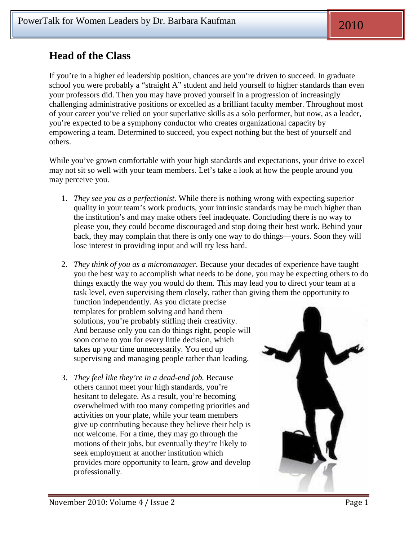## **Head of the Class**

If you're in a higher ed leadership position, chances are you're driven to succeed. In graduate school you were probably a "straight A" student and held yourself to higher standards than even your professors did. Then you may have proved yourself in a progression of increasingly challenging administrative positions or excelled as a brilliant faculty member. Throughout most of your career you've relied on your superlative skills as a solo performer, but now, as a leader, you're expected to be a symphony conductor who creates organizational capacity by empowering a team. Determined to succeed, you expect nothing but the best of yourself and others.

While you've grown comfortable with your high standards and expectations, your drive to excel may not sit so well with your team members. Let's take a look at how the people around you may perceive you.

- 1. *They see you as a perfectionist.* While there is nothing wrong with expecting superior quality in your team's work products, your intrinsic standards may be much higher than the institution's and may make others feel inadequate. Concluding there is no way to please you, they could become discouraged and stop doing their best work. Behind your back, they may complain that there is only one way to do things—yours. Soon they will lose interest in providing input and will try less hard.
- 2. *They think of you as a micromanager.* Because your decades of experience have taught you the best way to accomplish what needs to be done, you may be expecting others to do things exactly the way you would do them. This may lead you to direct your team at a task level, even supervising them closely, rather than giving them the opportunity to

function independently. As you dictate precise templates for problem solving and hand them solutions, you're probably stifling their creativity. And because only you can do things right, people will soon come to you for every little decision, which takes up your time unnecessarily. You end up supervising and managing people rather than leading.

3. *They feel like they're in a dead-end job.* Because others cannot meet your high standards, you're hesitant to delegate. As a result, you're becoming overwhelmed with too many competing priorities and activities on your plate, while your team members give up contributing because they believe their help is not welcome. For a time, they may go through the motions of their jobs, but eventually they're likely to seek employment at another institution which provides more opportunity to learn, grow and develop professionally.

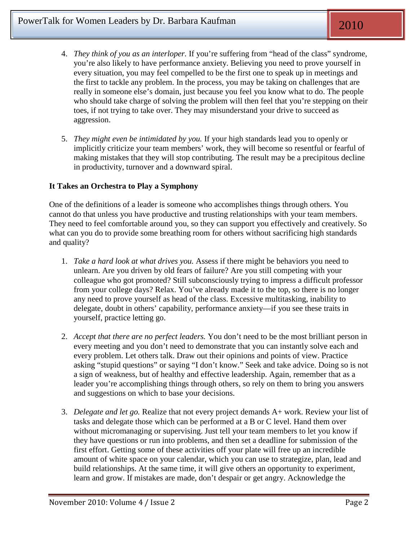- 4. *They think of you as an interloper.* If you're suffering from "head of the class" syndrome, you're also likely to have performance anxiety. Believing you need to prove yourself in every situation, you may feel compelled to be the first one to speak up in meetings and the first to tackle any problem. In the process, you may be taking on challenges that are really in someone else's domain, just because you feel you know what to do. The people who should take charge of solving the problem will then feel that you're stepping on their toes, if not trying to take over. They may misunderstand your drive to succeed as aggression.
- 5. *They might even be intimidated by you.* If your high standards lead you to openly or implicitly criticize your team members' work, they will become so resentful or fearful of making mistakes that they will stop contributing. The result may be a precipitous decline in productivity, turnover and a downward spiral.

## **It Takes an Orchestra to Play a Symphony**

One of the definitions of a leader is someone who accomplishes things through others. You cannot do that unless you have productive and trusting relationships with your team members. They need to feel comfortable around you, so they can support you effectively and creatively. So what can you do to provide some breathing room for others without sacrificing high standards and quality?

- 1. *Take a hard look at what drives you.* Assess if there might be behaviors you need to unlearn. Are you driven by old fears of failure? Are you still competing with your colleague who got promoted? Still subconsciously trying to impress a difficult professor from your college days? Relax. You've already made it to the top, so there is no longer any need to prove yourself as head of the class. Excessive multitasking, inability to delegate, doubt in others' capability, performance anxiety—if you see these traits in yourself, practice letting go.
- 2. *Accept that there are no perfect leaders.* You don't need to be the most brilliant person in every meeting and you don't need to demonstrate that you can instantly solve each and every problem. Let others talk. Draw out their opinions and points of view. Practice asking "stupid questions" or saying "I don't know." Seek and take advice. Doing so is not a sign of weakness, but of healthy and effective leadership. Again, remember that as a leader you're accomplishing things through others, so rely on them to bring you answers and suggestions on which to base your decisions.
- 3. *Delegate and let go.* Realize that not every project demands A+ work. Review your list of tasks and delegate those which can be performed at a B or C level. Hand them over without micromanaging or supervising. Just tell your team members to let you know if they have questions or run into problems, and then set a deadline for submission of the first effort. Getting some of these activities off your plate will free up an incredible amount of white space on your calendar, which you can use to strategize, plan, lead and build relationships. At the same time, it will give others an opportunity to experiment, learn and grow. If mistakes are made, don't despair or get angry. Acknowledge the